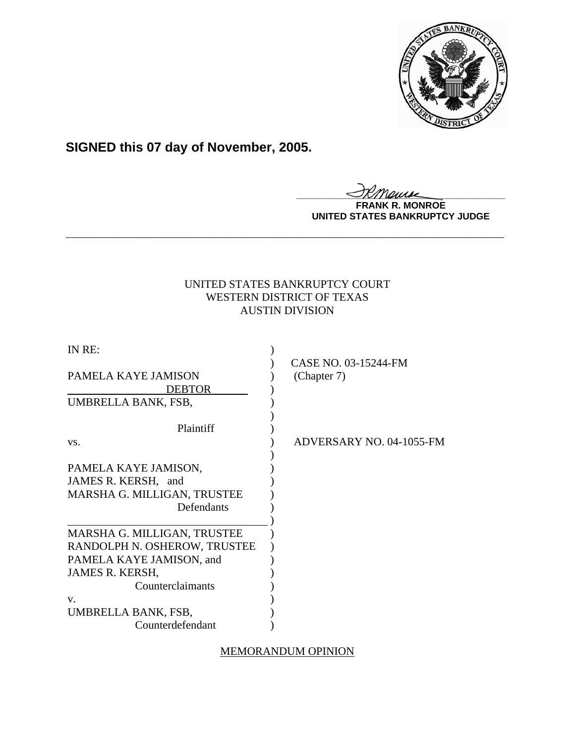

# **SIGNED this 07 day of November, 2005.**

**\_\_\_\_\_\_\_\_\_\_\_\_\_\_\_\_\_\_\_\_\_\_\_\_\_\_\_\_\_\_\_\_\_\_\_\_\_\_\_\_**

**FRANK R. MONROE UNITED STATES BANKRUPTCY JUDGE**

# UNITED STATES BANKRUPTCY COURT WESTERN DISTRICT OF TEXAS AUSTIN DIVISION

**\_\_\_\_\_\_\_\_\_\_\_\_\_\_\_\_\_\_\_\_\_\_\_\_\_\_\_\_\_\_\_\_\_\_\_\_\_\_\_\_\_\_\_\_\_\_\_\_\_\_\_\_\_\_\_\_\_\_\_\_**

| IN RE:                                                                                   |                                     |
|------------------------------------------------------------------------------------------|-------------------------------------|
| PAMELA KAYE JAMISON<br><b>DEBTOR</b>                                                     | CASE NO. 03-15244-FM<br>(Chapter 7) |
| UMBRELLA BANK, FSB,                                                                      |                                     |
| Plaintiff                                                                                |                                     |
| VS.                                                                                      | ADVERSARY NO. 04-1055-FM            |
| PAMELA KAYE JAMISON,<br>JAMES R. KERSH, and<br>MARSHA G. MILLIGAN, TRUSTEE<br>Defendants |                                     |
| MARSHA G. MILLIGAN, TRUSTEE                                                              |                                     |
| RANDOLPH N. OSHEROW, TRUSTEE                                                             |                                     |
| PAMELA KAYE JAMISON, and                                                                 |                                     |
| JAMES R. KERSH,                                                                          |                                     |
| Counterclaimants                                                                         |                                     |
| V.                                                                                       |                                     |
| UMBRELLA BANK, FSB,                                                                      |                                     |
| Counterdefendant                                                                         |                                     |

MEMORANDUM OPINION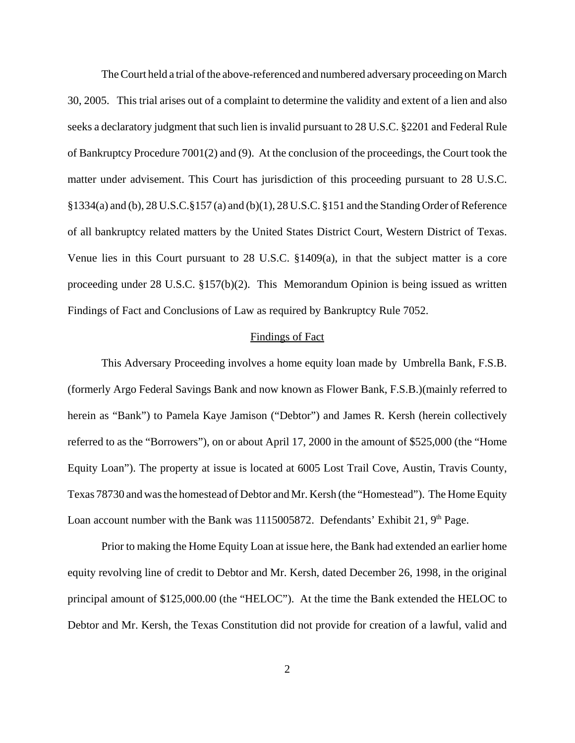The Court held a trial of the above-referenced and numbered adversary proceeding on March 30, 2005. This trial arises out of a complaint to determine the validity and extent of a lien and also seeks a declaratory judgment that such lien is invalid pursuant to 28 U.S.C. §2201 and Federal Rule of Bankruptcy Procedure 7001(2) and (9). At the conclusion of the proceedings, the Court took the matter under advisement. This Court has jurisdiction of this proceeding pursuant to 28 U.S.C. §1334(a) and (b), 28 U.S.C.§157 (a) and (b)(1), 28 U.S.C. §151 and the Standing Order of Reference of all bankruptcy related matters by the United States District Court, Western District of Texas. Venue lies in this Court pursuant to 28 U.S.C. §1409(a), in that the subject matter is a core proceeding under 28 U.S.C. §157(b)(2). This Memorandum Opinion is being issued as written Findings of Fact and Conclusions of Law as required by Bankruptcy Rule 7052.

# Findings of Fact

This Adversary Proceeding involves a home equity loan made by Umbrella Bank, F.S.B. (formerly Argo Federal Savings Bank and now known as Flower Bank, F.S.B.)(mainly referred to herein as "Bank") to Pamela Kaye Jamison ("Debtor") and James R. Kersh (herein collectively referred to as the "Borrowers"), on or about April 17, 2000 in the amount of \$525,000 (the "Home Equity Loan"). The property at issue is located at 6005 Lost Trail Cove, Austin, Travis County, Texas 78730 and was the homestead of Debtor and Mr. Kersh (the "Homestead"). The Home Equity Loan account number with the Bank was 1115005872. Defendants' Exhibit 21, 9<sup>th</sup> Page.

Prior to making the Home Equity Loan at issue here, the Bank had extended an earlier home equity revolving line of credit to Debtor and Mr. Kersh, dated December 26, 1998, in the original principal amount of \$125,000.00 (the "HELOC"). At the time the Bank extended the HELOC to Debtor and Mr. Kersh, the Texas Constitution did not provide for creation of a lawful, valid and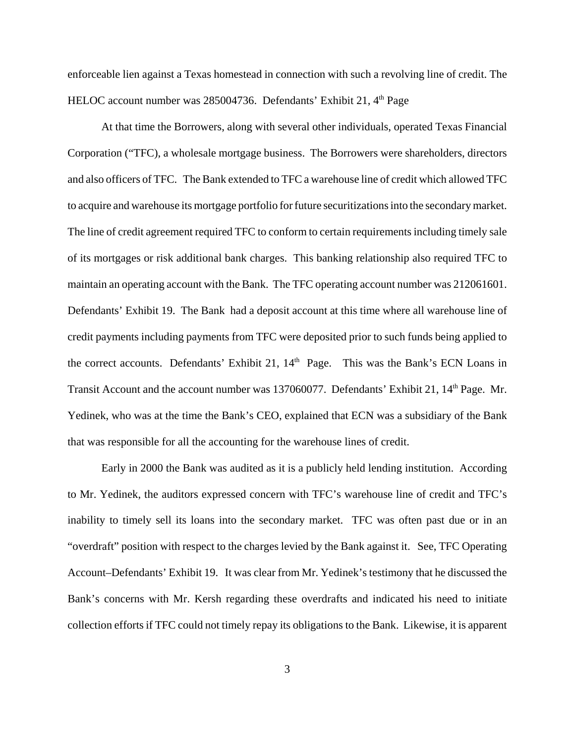enforceable lien against a Texas homestead in connection with such a revolving line of credit. The HELOC account number was 285004736. Defendants' Exhibit 21, 4<sup>th</sup> Page

At that time the Borrowers, along with several other individuals, operated Texas Financial Corporation ("TFC), a wholesale mortgage business. The Borrowers were shareholders, directors and also officers of TFC. The Bank extended to TFC a warehouse line of credit which allowed TFC to acquire and warehouse its mortgage portfolio for future securitizations into the secondary market. The line of credit agreement required TFC to conform to certain requirements including timely sale of its mortgages or risk additional bank charges. This banking relationship also required TFC to maintain an operating account with the Bank. The TFC operating account number was 212061601. Defendants' Exhibit 19. The Bank had a deposit account at this time where all warehouse line of credit payments including payments from TFC were deposited prior to such funds being applied to the correct accounts. Defendants' Exhibit 21, 14<sup>th</sup> Page. This was the Bank's ECN Loans in Transit Account and the account number was 137060077. Defendants' Exhibit 21, 14<sup>th</sup> Page. Mr. Yedinek, who was at the time the Bank's CEO, explained that ECN was a subsidiary of the Bank that was responsible for all the accounting for the warehouse lines of credit.

Early in 2000 the Bank was audited as it is a publicly held lending institution. According to Mr. Yedinek, the auditors expressed concern with TFC's warehouse line of credit and TFC's inability to timely sell its loans into the secondary market. TFC was often past due or in an "overdraft" position with respect to the charges levied by the Bank against it. See, TFC Operating Account–Defendants' Exhibit 19. It was clear from Mr. Yedinek's testimony that he discussed the Bank's concerns with Mr. Kersh regarding these overdrafts and indicated his need to initiate collection efforts if TFC could not timely repay its obligations to the Bank. Likewise, it is apparent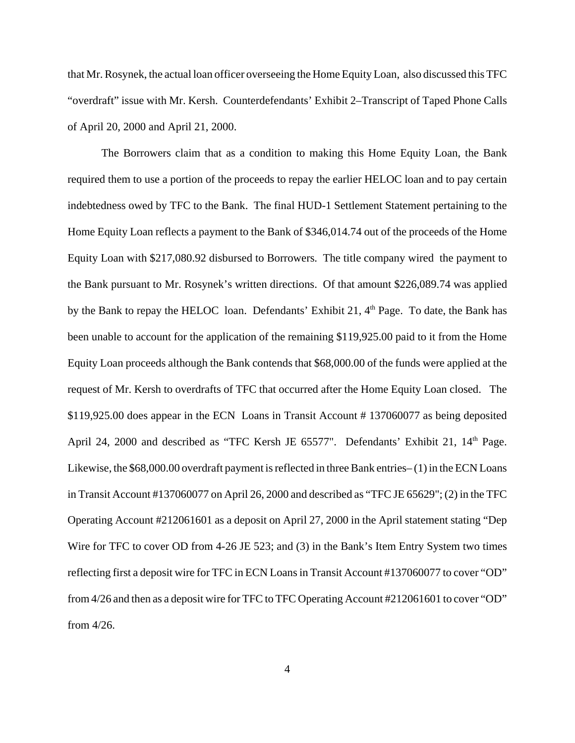that Mr. Rosynek, the actual loan officer overseeing the Home Equity Loan, also discussed this TFC "overdraft" issue with Mr. Kersh. Counterdefendants' Exhibit 2–Transcript of Taped Phone Calls of April 20, 2000 and April 21, 2000.

The Borrowers claim that as a condition to making this Home Equity Loan, the Bank required them to use a portion of the proceeds to repay the earlier HELOC loan and to pay certain indebtedness owed by TFC to the Bank. The final HUD-1 Settlement Statement pertaining to the Home Equity Loan reflects a payment to the Bank of \$346,014.74 out of the proceeds of the Home Equity Loan with \$217,080.92 disbursed to Borrowers. The title company wired the payment to the Bank pursuant to Mr. Rosynek's written directions. Of that amount \$226,089.74 was applied by the Bank to repay the HELOC loan. Defendants' Exhibit 21,  $4<sup>th</sup>$  Page. To date, the Bank has been unable to account for the application of the remaining \$119,925.00 paid to it from the Home Equity Loan proceeds although the Bank contends that \$68,000.00 of the funds were applied at the request of Mr. Kersh to overdrafts of TFC that occurred after the Home Equity Loan closed. The \$119,925.00 does appear in the ECN Loans in Transit Account # 137060077 as being deposited April 24, 2000 and described as "TFC Kersh JE 65577". Defendants' Exhibit 21, 14<sup>th</sup> Page. Likewise, the \$68,000.00 overdraft payment is reflected in three Bank entries– (1) in the ECN Loans in Transit Account #137060077 on April 26, 2000 and described as "TFC JE 65629"; (2) in the TFC Operating Account #212061601 as a deposit on April 27, 2000 in the April statement stating "Dep Wire for TFC to cover OD from 4-26 JE 523; and (3) in the Bank's Item Entry System two times reflecting first a deposit wire for TFC in ECN Loans in Transit Account #137060077 to cover "OD" from 4/26 and then as a deposit wire for TFC to TFC Operating Account #212061601 to cover "OD" from 4/26.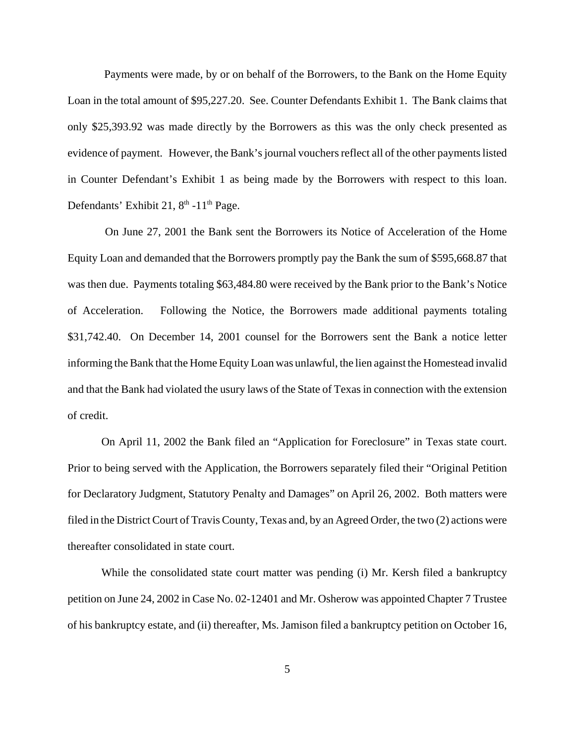Payments were made, by or on behalf of the Borrowers, to the Bank on the Home Equity Loan in the total amount of \$95,227.20. See. Counter Defendants Exhibit 1. The Bank claims that only \$25,393.92 was made directly by the Borrowers as this was the only check presented as evidence of payment. However, the Bank's journal vouchers reflect all of the other payments listed in Counter Defendant's Exhibit 1 as being made by the Borrowers with respect to this loan. Defendants' Exhibit 21,  $8<sup>th</sup> -11<sup>th</sup>$  Page.

 On June 27, 2001 the Bank sent the Borrowers its Notice of Acceleration of the Home Equity Loan and demanded that the Borrowers promptly pay the Bank the sum of \$595,668.87 that was then due. Payments totaling \$63,484.80 were received by the Bank prior to the Bank's Notice of Acceleration. Following the Notice, the Borrowers made additional payments totaling \$31,742.40. On December 14, 2001 counsel for the Borrowers sent the Bank a notice letter informing the Bank that the Home Equity Loan was unlawful, the lien against the Homestead invalid and that the Bank had violated the usury laws of the State of Texas in connection with the extension of credit.

On April 11, 2002 the Bank filed an "Application for Foreclosure" in Texas state court. Prior to being served with the Application, the Borrowers separately filed their "Original Petition for Declaratory Judgment, Statutory Penalty and Damages" on April 26, 2002. Both matters were filed in the District Court of Travis County, Texas and, by an Agreed Order, the two (2) actions were thereafter consolidated in state court.

While the consolidated state court matter was pending (i) Mr. Kersh filed a bankruptcy petition on June 24, 2002 in Case No. 02-12401 and Mr. Osherow was appointed Chapter 7 Trustee of his bankruptcy estate, and (ii) thereafter, Ms. Jamison filed a bankruptcy petition on October 16,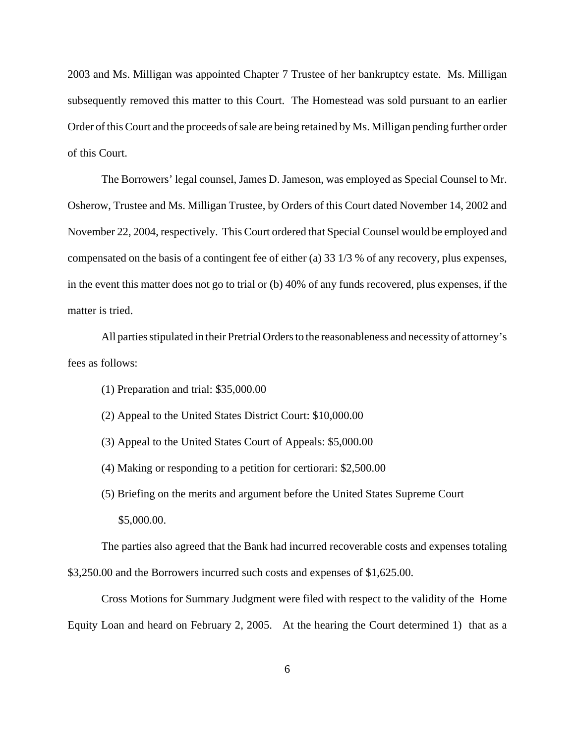2003 and Ms. Milligan was appointed Chapter 7 Trustee of her bankruptcy estate. Ms. Milligan subsequently removed this matter to this Court. The Homestead was sold pursuant to an earlier Order of this Court and the proceeds of sale are being retained by Ms. Milligan pending further order of this Court.

The Borrowers' legal counsel, James D. Jameson, was employed as Special Counsel to Mr. Osherow, Trustee and Ms. Milligan Trustee, by Orders of this Court dated November 14, 2002 and November 22, 2004, respectively. This Court ordered that Special Counsel would be employed and compensated on the basis of a contingent fee of either (a) 33 1/3 % of any recovery, plus expenses, in the event this matter does not go to trial or (b) 40% of any funds recovered, plus expenses, if the matter is tried.

All parties stipulated in their Pretrial Orders to the reasonableness and necessity of attorney's fees as follows:

- (1) Preparation and trial: \$35,000.00
- (2) Appeal to the United States District Court: \$10,000.00
- (3) Appeal to the United States Court of Appeals: \$5,000.00
- (4) Making or responding to a petition for certiorari: \$2,500.00
- (5) Briefing on the merits and argument before the United States Supreme Court \$5,000.00.

The parties also agreed that the Bank had incurred recoverable costs and expenses totaling \$3,250.00 and the Borrowers incurred such costs and expenses of \$1,625.00.

Cross Motions for Summary Judgment were filed with respect to the validity of the Home Equity Loan and heard on February 2, 2005. At the hearing the Court determined 1) that as a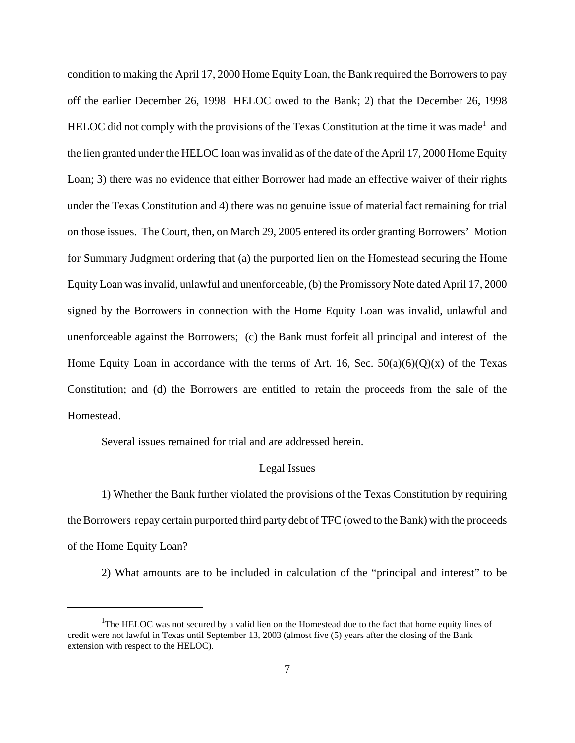condition to making the April 17, 2000 Home Equity Loan, the Bank required the Borrowers to pay off the earlier December 26, 1998 HELOC owed to the Bank; 2) that the December 26, 1998 HELOC did not comply with the provisions of the Texas Constitution at the time it was made<sup>1</sup> and the lien granted under the HELOC loan was invalid as of the date of the April 17, 2000 Home Equity Loan; 3) there was no evidence that either Borrower had made an effective waiver of their rights under the Texas Constitution and 4) there was no genuine issue of material fact remaining for trial on those issues. The Court, then, on March 29, 2005 entered its order granting Borrowers' Motion for Summary Judgment ordering that (a) the purported lien on the Homestead securing the Home Equity Loan was invalid, unlawful and unenforceable, (b) the Promissory Note dated April 17, 2000 signed by the Borrowers in connection with the Home Equity Loan was invalid, unlawful and unenforceable against the Borrowers; (c) the Bank must forfeit all principal and interest of the Home Equity Loan in accordance with the terms of Art. 16, Sec.  $50(a)(6)(Q)(x)$  of the Texas Constitution; and (d) the Borrowers are entitled to retain the proceeds from the sale of the Homestead.

Several issues remained for trial and are addressed herein.

#### Legal Issues

1) Whether the Bank further violated the provisions of the Texas Constitution by requiring the Borrowers repay certain purported third party debt of TFC (owed to the Bank) with the proceeds of the Home Equity Loan?

2) What amounts are to be included in calculation of the "principal and interest" to be

<sup>&</sup>lt;sup>1</sup>The HELOC was not secured by a valid lien on the Homestead due to the fact that home equity lines of credit were not lawful in Texas until September 13, 2003 (almost five (5) years after the closing of the Bank extension with respect to the HELOC).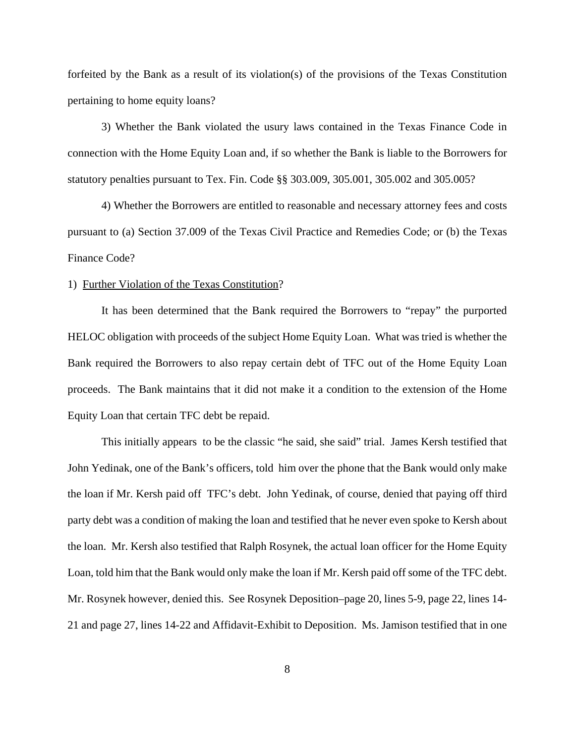forfeited by the Bank as a result of its violation(s) of the provisions of the Texas Constitution pertaining to home equity loans?

3) Whether the Bank violated the usury laws contained in the Texas Finance Code in connection with the Home Equity Loan and, if so whether the Bank is liable to the Borrowers for statutory penalties pursuant to Tex. Fin. Code §§ 303.009, 305.001, 305.002 and 305.005?

4) Whether the Borrowers are entitled to reasonable and necessary attorney fees and costs pursuant to (a) Section 37.009 of the Texas Civil Practice and Remedies Code; or (b) the Texas Finance Code?

### 1) Further Violation of the Texas Constitution?

It has been determined that the Bank required the Borrowers to "repay" the purported HELOC obligation with proceeds of the subject Home Equity Loan. What was tried is whether the Bank required the Borrowers to also repay certain debt of TFC out of the Home Equity Loan proceeds. The Bank maintains that it did not make it a condition to the extension of the Home Equity Loan that certain TFC debt be repaid.

This initially appears to be the classic "he said, she said" trial. James Kersh testified that John Yedinak, one of the Bank's officers, told him over the phone that the Bank would only make the loan if Mr. Kersh paid off TFC's debt. John Yedinak, of course, denied that paying off third party debt was a condition of making the loan and testified that he never even spoke to Kersh about the loan. Mr. Kersh also testified that Ralph Rosynek, the actual loan officer for the Home Equity Loan, told him that the Bank would only make the loan if Mr. Kersh paid off some of the TFC debt. Mr. Rosynek however, denied this. See Rosynek Deposition–page 20, lines 5-9, page 22, lines 14- 21 and page 27, lines 14-22 and Affidavit-Exhibit to Deposition. Ms. Jamison testified that in one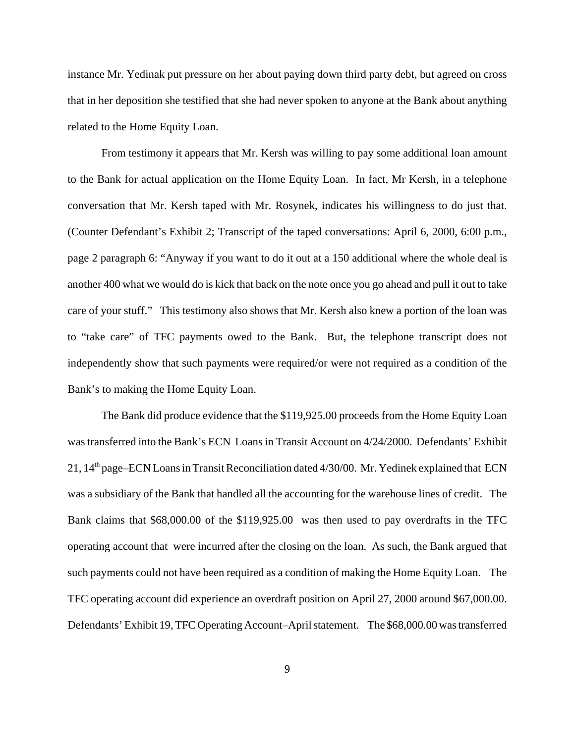instance Mr. Yedinak put pressure on her about paying down third party debt, but agreed on cross that in her deposition she testified that she had never spoken to anyone at the Bank about anything related to the Home Equity Loan.

 From testimony it appears that Mr. Kersh was willing to pay some additional loan amount to the Bank for actual application on the Home Equity Loan. In fact, Mr Kersh, in a telephone conversation that Mr. Kersh taped with Mr. Rosynek, indicates his willingness to do just that. (Counter Defendant's Exhibit 2; Transcript of the taped conversations: April 6, 2000, 6:00 p.m., page 2 paragraph 6: "Anyway if you want to do it out at a 150 additional where the whole deal is another 400 what we would do is kick that back on the note once you go ahead and pull it out to take care of your stuff." This testimony also shows that Mr. Kersh also knew a portion of the loan was to "take care" of TFC payments owed to the Bank. But, the telephone transcript does not independently show that such payments were required/or were not required as a condition of the Bank's to making the Home Equity Loan.

The Bank did produce evidence that the \$119,925.00 proceeds from the Home Equity Loan was transferred into the Bank's ECN Loans in Transit Account on 4/24/2000. Defendants' Exhibit 21, 14th page–ECN Loans in Transit Reconciliation dated 4/30/00. Mr. Yedinek explained that ECN was a subsidiary of the Bank that handled all the accounting for the warehouse lines of credit. The Bank claims that \$68,000.00 of the \$119,925.00 was then used to pay overdrafts in the TFC operating account that were incurred after the closing on the loan. As such, the Bank argued that such payments could not have been required as a condition of making the Home Equity Loan. The TFC operating account did experience an overdraft position on April 27, 2000 around \$67,000.00. Defendants' Exhibit 19, TFC Operating Account–April statement. The \$68,000.00 was transferred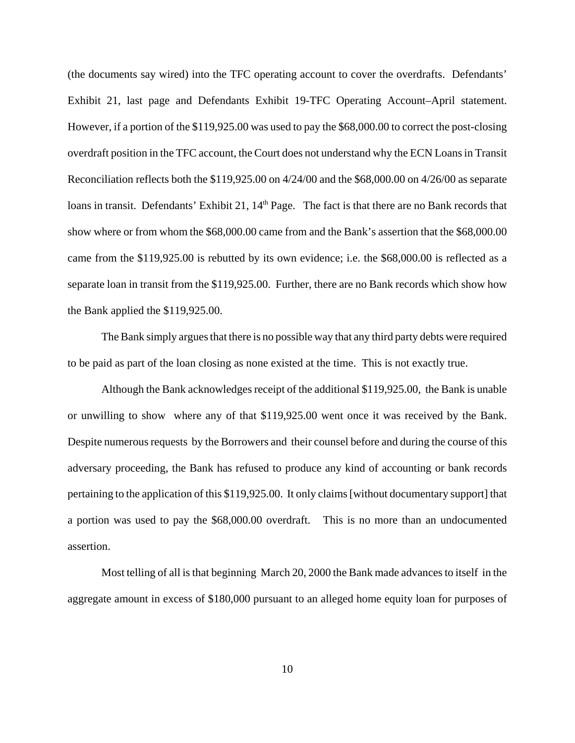(the documents say wired) into the TFC operating account to cover the overdrafts. Defendants' Exhibit 21, last page and Defendants Exhibit 19-TFC Operating Account–April statement. However, if a portion of the \$119,925.00 was used to pay the \$68,000.00 to correct the post-closing overdraft position in the TFC account, the Court does not understand why the ECN Loans in Transit Reconciliation reflects both the \$119,925.00 on 4/24/00 and the \$68,000.00 on 4/26/00 as separate loans in transit. Defendants' Exhibit 21, 14<sup>th</sup> Page. The fact is that there are no Bank records that show where or from whom the \$68,000.00 came from and the Bank's assertion that the \$68,000.00 came from the \$119,925.00 is rebutted by its own evidence; i.e. the \$68,000.00 is reflected as a separate loan in transit from the \$119,925.00. Further, there are no Bank records which show how the Bank applied the \$119,925.00.

The Bank simply argues that there is no possible way that any third party debts were required to be paid as part of the loan closing as none existed at the time. This is not exactly true.

Although the Bank acknowledges receipt of the additional \$119,925.00, the Bank is unable or unwilling to show where any of that \$119,925.00 went once it was received by the Bank. Despite numerous requests by the Borrowers and their counsel before and during the course of this adversary proceeding, the Bank has refused to produce any kind of accounting or bank records pertaining to the application of this \$119,925.00. It only claims [without documentary support] that a portion was used to pay the \$68,000.00 overdraft. This is no more than an undocumented assertion.

Most telling of all is that beginning March 20, 2000 the Bank made advances to itself in the aggregate amount in excess of \$180,000 pursuant to an alleged home equity loan for purposes of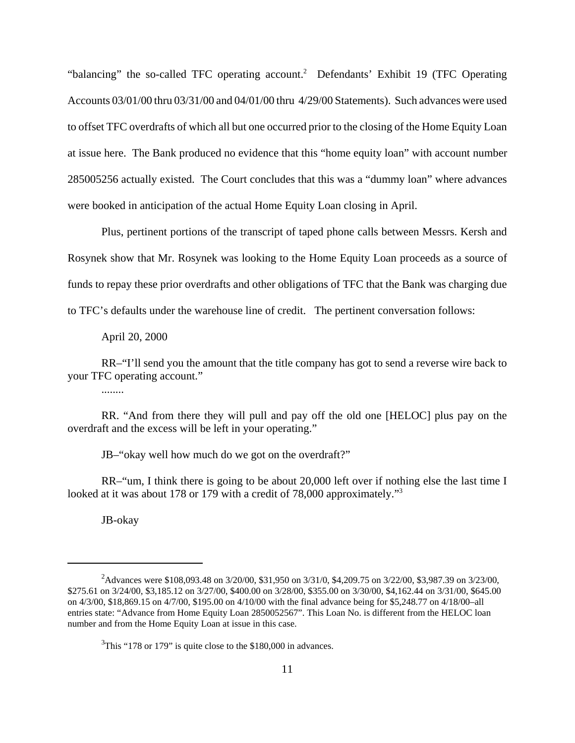"balancing" the so-called TFC operating account.<sup>2</sup> Defendants' Exhibit 19 (TFC Operating Accounts 03/01/00 thru 03/31/00 and 04/01/00 thru 4/29/00 Statements). Such advances were used to offset TFC overdrafts of which all but one occurred prior to the closing of the Home Equity Loan at issue here. The Bank produced no evidence that this "home equity loan" with account number 285005256 actually existed. The Court concludes that this was a "dummy loan" where advances were booked in anticipation of the actual Home Equity Loan closing in April.

Plus, pertinent portions of the transcript of taped phone calls between Messrs. Kersh and Rosynek show that Mr. Rosynek was looking to the Home Equity Loan proceeds as a source of funds to repay these prior overdrafts and other obligations of TFC that the Bank was charging due to TFC's defaults under the warehouse line of credit. The pertinent conversation follows:

April 20, 2000

RR–"I'll send you the amount that the title company has got to send a reverse wire back to your TFC operating account."

........

RR. "And from there they will pull and pay off the old one [HELOC] plus pay on the overdraft and the excess will be left in your operating."

JB–"okay well how much do we got on the overdraft?"

RR–"um, I think there is going to be about 20,000 left over if nothing else the last time I looked at it was about 178 or 179 with a credit of 78,000 approximately."<sup>3</sup>

JB-okay

<sup>2</sup> Advances were \$108,093.48 on 3/20/00, \$31,950 on 3/31/0, \$4,209.75 on 3/22/00, \$3,987.39 on 3/23/00, \$275.61 on 3/24/00, \$3,185.12 on 3/27/00, \$400.00 on 3/28/00, \$355.00 on 3/30/00, \$4,162.44 on 3/31/00, \$645.00 on 4/3/00, \$18,869.15 on 4/7/00, \$195.00 on 4/10/00 with the final advance being for \$5,248.77 on 4/18/00–all entries state: "Advance from Home Equity Loan 2850052567". This Loan No. is different from the HELOC loan number and from the Home Equity Loan at issue in this case.

 $3$ This "178 or 179" is quite close to the \$180,000 in advances.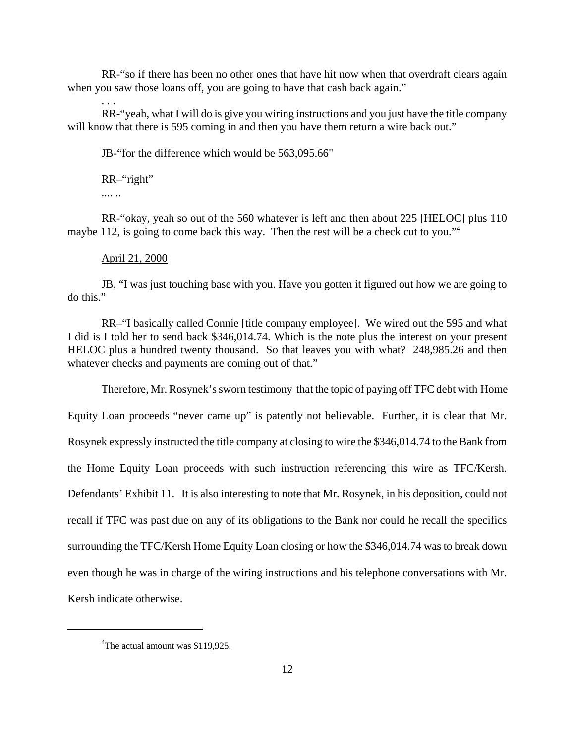RR-"so if there has been no other ones that have hit now when that overdraft clears again when you saw those loans off, you are going to have that cash back again."

RR-"yeah, what I will do is give you wiring instructions and you just have the title company will know that there is 595 coming in and then you have them return a wire back out."

JB-"for the difference which would be 563,095.66"

RR–"right"

.... ..

. . .

RR-"okay, yeah so out of the 560 whatever is left and then about 225 [HELOC] plus 110 maybe 112, is going to come back this way. Then the rest will be a check cut to you."<sup>4</sup>

#### April 21, 2000

JB, "I was just touching base with you. Have you gotten it figured out how we are going to do this."

RR–"I basically called Connie [title company employee]. We wired out the 595 and what I did is I told her to send back \$346,014.74. Which is the note plus the interest on your present HELOC plus a hundred twenty thousand. So that leaves you with what? 248,985.26 and then whatever checks and payments are coming out of that."

Therefore, Mr. Rosynek's sworn testimony that the topic of paying off TFC debt with Home

Equity Loan proceeds "never came up" is patently not believable. Further, it is clear that Mr. Rosynek expressly instructed the title company at closing to wire the \$346,014.74 to the Bank from the Home Equity Loan proceeds with such instruction referencing this wire as TFC/Kersh. Defendants' Exhibit 11. It is also interesting to note that Mr. Rosynek, in his deposition, could not recall if TFC was past due on any of its obligations to the Bank nor could he recall the specifics surrounding the TFC/Kersh Home Equity Loan closing or how the \$346,014.74 was to break down even though he was in charge of the wiring instructions and his telephone conversations with Mr. Kersh indicate otherwise.

<sup>&</sup>lt;sup>4</sup>The actual amount was \$119,925.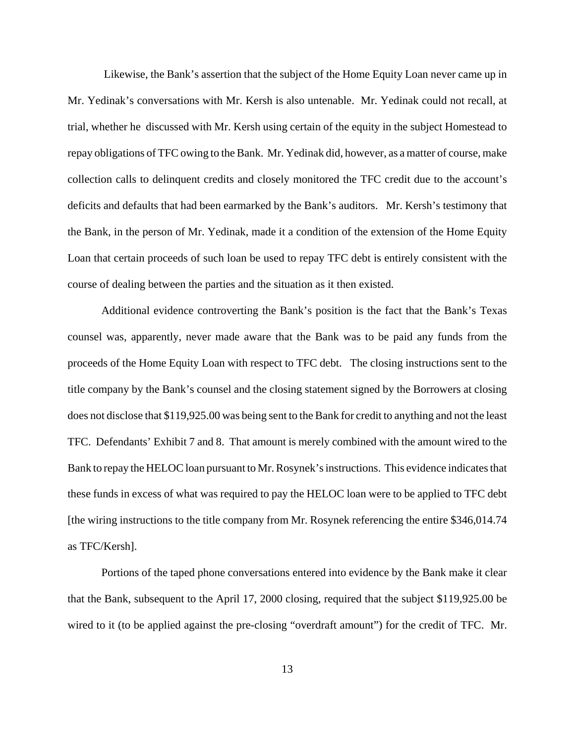Likewise, the Bank's assertion that the subject of the Home Equity Loan never came up in Mr. Yedinak's conversations with Mr. Kersh is also untenable. Mr. Yedinak could not recall, at trial, whether he discussed with Mr. Kersh using certain of the equity in the subject Homestead to repay obligations of TFC owing to the Bank. Mr. Yedinak did, however, as a matter of course, make collection calls to delinquent credits and closely monitored the TFC credit due to the account's deficits and defaults that had been earmarked by the Bank's auditors. Mr. Kersh's testimony that the Bank, in the person of Mr. Yedinak, made it a condition of the extension of the Home Equity Loan that certain proceeds of such loan be used to repay TFC debt is entirely consistent with the course of dealing between the parties and the situation as it then existed.

Additional evidence controverting the Bank's position is the fact that the Bank's Texas counsel was, apparently, never made aware that the Bank was to be paid any funds from the proceeds of the Home Equity Loan with respect to TFC debt. The closing instructions sent to the title company by the Bank's counsel and the closing statement signed by the Borrowers at closing does not disclose that \$119,925.00 was being sent to the Bank for credit to anything and not the least TFC. Defendants' Exhibit 7 and 8. That amount is merely combined with the amount wired to the Bank to repay the HELOC loan pursuant to Mr. Rosynek's instructions. This evidence indicates that these funds in excess of what was required to pay the HELOC loan were to be applied to TFC debt [the wiring instructions to the title company from Mr. Rosynek referencing the entire \$346,014.74 as TFC/Kersh].

Portions of the taped phone conversations entered into evidence by the Bank make it clear that the Bank, subsequent to the April 17, 2000 closing, required that the subject \$119,925.00 be wired to it (to be applied against the pre-closing "overdraft amount") for the credit of TFC. Mr.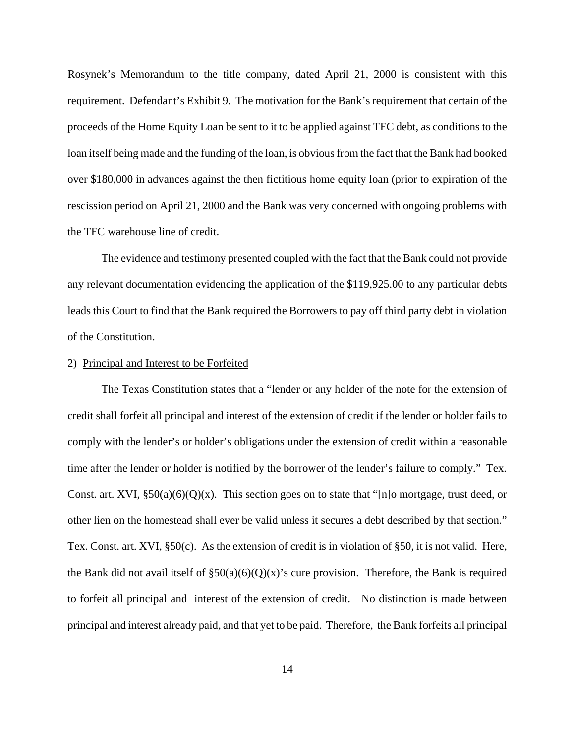Rosynek's Memorandum to the title company, dated April 21, 2000 is consistent with this requirement. Defendant's Exhibit 9. The motivation for the Bank's requirement that certain of the proceeds of the Home Equity Loan be sent to it to be applied against TFC debt, as conditions to the loan itself being made and the funding of the loan, is obvious from the fact that the Bank had booked over \$180,000 in advances against the then fictitious home equity loan (prior to expiration of the rescission period on April 21, 2000 and the Bank was very concerned with ongoing problems with the TFC warehouse line of credit.

The evidence and testimony presented coupled with the fact that the Bank could not provide any relevant documentation evidencing the application of the \$119,925.00 to any particular debts leads this Court to find that the Bank required the Borrowers to pay off third party debt in violation of the Constitution.

### 2) Principal and Interest to be Forfeited

The Texas Constitution states that a "lender or any holder of the note for the extension of credit shall forfeit all principal and interest of the extension of credit if the lender or holder fails to comply with the lender's or holder's obligations under the extension of credit within a reasonable time after the lender or holder is notified by the borrower of the lender's failure to comply." Tex. Const. art. XVI,  $\S50(a)(6)(Q)(x)$ . This section goes on to state that "[n]o mortgage, trust deed, or other lien on the homestead shall ever be valid unless it secures a debt described by that section." Tex. Const. art. XVI, §50(c). As the extension of credit is in violation of §50, it is not valid. Here, the Bank did not avail itself of  $\S50(a)(6)(Q)(x)$ 's cure provision. Therefore, the Bank is required to forfeit all principal and interest of the extension of credit. No distinction is made between principal and interest already paid, and that yet to be paid. Therefore, the Bank forfeits all principal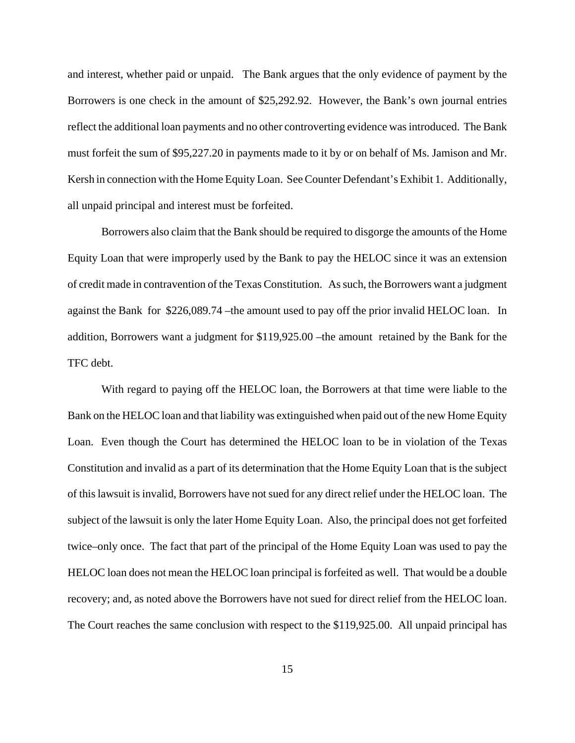and interest, whether paid or unpaid. The Bank argues that the only evidence of payment by the Borrowers is one check in the amount of \$25,292.92. However, the Bank's own journal entries reflect the additional loan payments and no other controverting evidence was introduced. The Bank must forfeit the sum of \$95,227.20 in payments made to it by or on behalf of Ms. Jamison and Mr. Kersh in connection with the Home Equity Loan. See Counter Defendant's Exhibit 1. Additionally, all unpaid principal and interest must be forfeited.

Borrowers also claim that the Bank should be required to disgorge the amounts of the Home Equity Loan that were improperly used by the Bank to pay the HELOC since it was an extension of credit made in contravention of the Texas Constitution. As such, the Borrowers want a judgment against the Bank for \$226,089.74 –the amount used to pay off the prior invalid HELOC loan. In addition, Borrowers want a judgment for \$119,925.00 –the amount retained by the Bank for the TFC debt.

With regard to paying off the HELOC loan, the Borrowers at that time were liable to the Bank on the HELOC loan and that liability was extinguished when paid out of the new Home Equity Loan. Even though the Court has determined the HELOC loan to be in violation of the Texas Constitution and invalid as a part of its determination that the Home Equity Loan that is the subject of this lawsuit is invalid, Borrowers have not sued for any direct relief under the HELOC loan. The subject of the lawsuit is only the later Home Equity Loan. Also, the principal does not get forfeited twice–only once. The fact that part of the principal of the Home Equity Loan was used to pay the HELOC loan does not mean the HELOC loan principal is forfeited as well. That would be a double recovery; and, as noted above the Borrowers have not sued for direct relief from the HELOC loan. The Court reaches the same conclusion with respect to the \$119,925.00. All unpaid principal has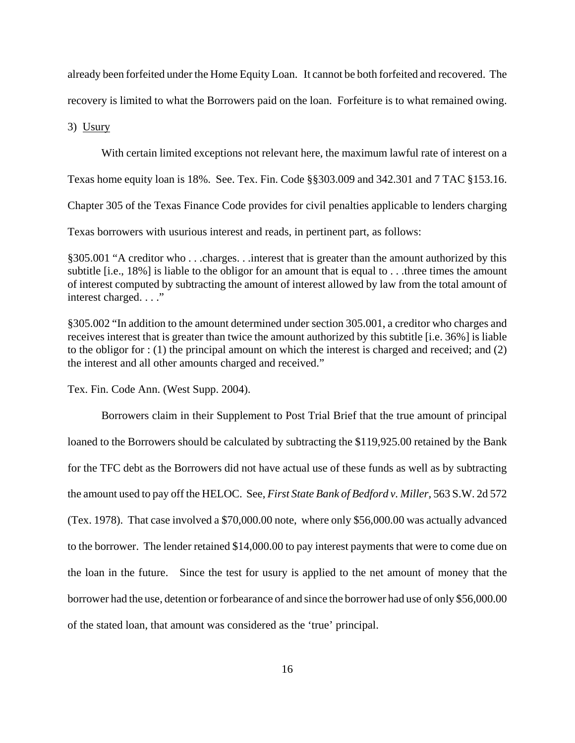already been forfeited under the Home Equity Loan. It cannot be both forfeited and recovered. The

recovery is limited to what the Borrowers paid on the loan. Forfeiture is to what remained owing.

3) Usury

With certain limited exceptions not relevant here, the maximum lawful rate of interest on a

Texas home equity loan is 18%. See. Tex. Fin. Code §§303.009 and 342.301 and 7 TAC §153.16.

Chapter 305 of the Texas Finance Code provides for civil penalties applicable to lenders charging

Texas borrowers with usurious interest and reads, in pertinent part, as follows:

§305.001 "A creditor who . . .charges. . .interest that is greater than the amount authorized by this subtitle [i.e., 18%] is liable to the obligor for an amount that is equal to . . .three times the amount of interest computed by subtracting the amount of interest allowed by law from the total amount of interest charged. . . ."

§305.002 "In addition to the amount determined under section 305.001, a creditor who charges and receives interest that is greater than twice the amount authorized by this subtitle [i.e. 36%] is liable to the obligor for : (1) the principal amount on which the interest is charged and received; and (2) the interest and all other amounts charged and received."

Tex. Fin. Code Ann. (West Supp. 2004).

Borrowers claim in their Supplement to Post Trial Brief that the true amount of principal loaned to the Borrowers should be calculated by subtracting the \$119,925.00 retained by the Bank for the TFC debt as the Borrowers did not have actual use of these funds as well as by subtracting the amount used to pay off the HELOC. See, *First State Bank of Bedford v. Miller,* 563 S.W. 2d 572 (Tex. 1978). That case involved a \$70,000.00 note, where only \$56,000.00 was actually advanced to the borrower. The lender retained \$14,000.00 to pay interest payments that were to come due on the loan in the future. Since the test for usury is applied to the net amount of money that the borrower had the use, detention or forbearance of and since the borrower had use of only \$56,000.00 of the stated loan, that amount was considered as the 'true' principal.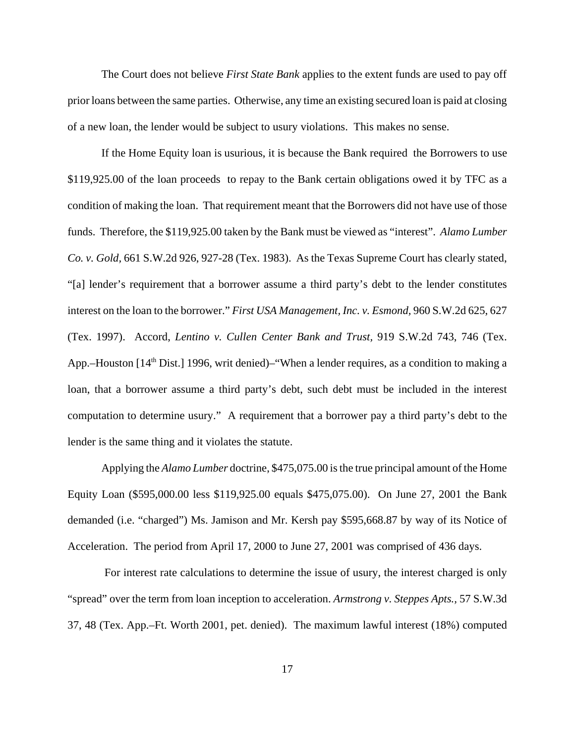The Court does not believe *First State Bank* applies to the extent funds are used to pay off prior loans between the same parties. Otherwise, any time an existing secured loan is paid at closing of a new loan, the lender would be subject to usury violations. This makes no sense.

If the Home Equity loan is usurious, it is because the Bank required the Borrowers to use \$119,925.00 of the loan proceeds to repay to the Bank certain obligations owed it by TFC as a condition of making the loan. That requirement meant that the Borrowers did not have use of those funds. Therefore, the \$119,925.00 taken by the Bank must be viewed as "interest". *Alamo Lumber Co. v. Gold,* 661 S.W.2d 926, 927-28 (Tex. 1983). As the Texas Supreme Court has clearly stated, "[a] lender's requirement that a borrower assume a third party's debt to the lender constitutes interest on the loan to the borrower." *First USA Management, Inc. v. Esmond,* 960 S.W.2d 625, 627 (Tex. 1997). Accord, *Lentino v. Cullen Center Bank and Trust,* 919 S.W.2d 743, 746 (Tex. App.–Houston  $[14<sup>th</sup> Dist.]$  1996, writ denied)–"When a lender requires, as a condition to making a loan, that a borrower assume a third party's debt, such debt must be included in the interest computation to determine usury." A requirement that a borrower pay a third party's debt to the lender is the same thing and it violates the statute.

Applying the *Alamo Lumber* doctrine, \$475,075.00 is the true principal amount of the Home Equity Loan (\$595,000.00 less \$119,925.00 equals \$475,075.00). On June 27, 2001 the Bank demanded (i.e. "charged") Ms. Jamison and Mr. Kersh pay \$595,668.87 by way of its Notice of Acceleration. The period from April 17, 2000 to June 27, 2001 was comprised of 436 days.

 For interest rate calculations to determine the issue of usury, the interest charged is only "spread" over the term from loan inception to acceleration. *Armstrong v. Steppes Apts.,* 57 S.W.3d 37, 48 (Tex. App.–Ft. Worth 2001, pet. denied). The maximum lawful interest (18%) computed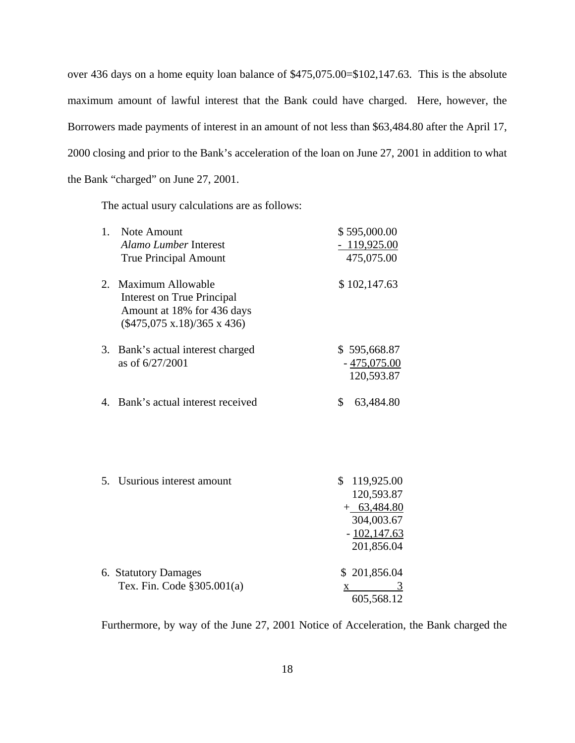over 436 days on a home equity loan balance of \$475,075.00=\$102,147.63. This is the absolute maximum amount of lawful interest that the Bank could have charged. Here, however, the Borrowers made payments of interest in an amount of not less than \$63,484.80 after the April 17, 2000 closing and prior to the Bank's acceleration of the loan on June 27, 2001 in addition to what the Bank "charged" on June 27, 2001.

The actual usury calculations are as follows:

| Note Amount                                                                                                                     | \$595,000.00                                                                                          |
|---------------------------------------------------------------------------------------------------------------------------------|-------------------------------------------------------------------------------------------------------|
| <b>Alamo Lumber Interest</b>                                                                                                    | $-119,925.00$                                                                                         |
| <b>True Principal Amount</b>                                                                                                    | 475,075.00                                                                                            |
| Maximum Allowable<br><b>Interest on True Principal</b><br>Amount at 18% for 436 days<br>$(\$475,075 \times 18)/365 \times 436)$ | \$102,147.63                                                                                          |
| Bank's actual interest charged<br>as of 6/27/2001                                                                               | \$595,668.87<br>$-475,075.00$<br>120,593.87                                                           |
|                                                                                                                                 | \$<br>63,484.80                                                                                       |
|                                                                                                                                 | \$                                                                                                    |
|                                                                                                                                 | 119,925.00<br>120,593.87                                                                              |
|                                                                                                                                 | $+$ 63,484.80                                                                                         |
|                                                                                                                                 | 304,003.67                                                                                            |
|                                                                                                                                 | $-102,147.63$                                                                                         |
|                                                                                                                                 | 201,856.04                                                                                            |
|                                                                                                                                 | \$201,856.04                                                                                          |
| Tex. Fin. Code §305.001(a)                                                                                                      | 3<br>X.                                                                                               |
|                                                                                                                                 | 605,568.12                                                                                            |
|                                                                                                                                 | 2.<br>3.<br>4. Bank's actual interest received<br>5. Usurious interest amount<br>6. Statutory Damages |

Furthermore, by way of the June 27, 2001 Notice of Acceleration, the Bank charged the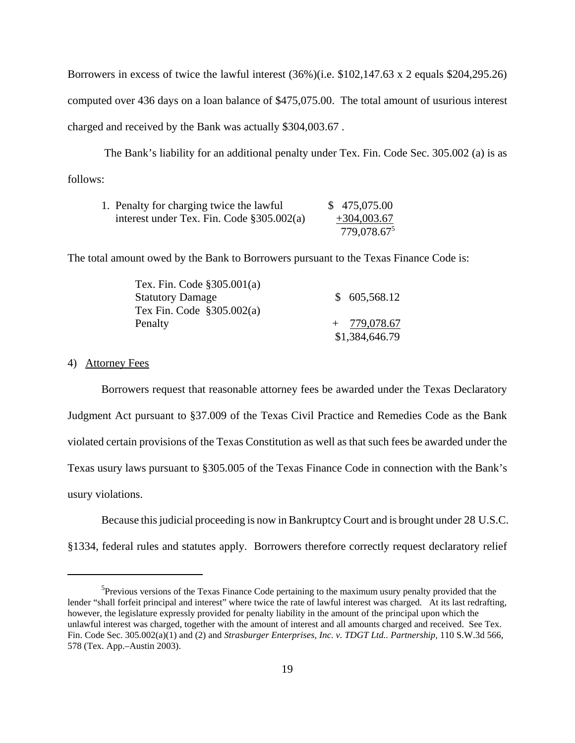Borrowers in excess of twice the lawful interest (36%)(i.e. \$102,147.63 x 2 equals \$204,295.26) computed over 436 days on a loan balance of \$475,075.00. The total amount of usurious interest charged and received by the Bank was actually \$304,003.67 .

 The Bank's liability for an additional penalty under Tex. Fin. Code Sec. 305.002 (a) is as follows:

| 1. Penalty for charging twice the lawful    | \$475,075.00            |
|---------------------------------------------|-------------------------|
| interest under Tex. Fin. Code $$305.002(a)$ | $+304,003.67$           |
|                                             | 779,078.67 <sup>5</sup> |

The total amount owed by the Bank to Borrowers pursuant to the Texas Finance Code is:

| Tex. Fin. Code $$305.001(a)$ |                |
|------------------------------|----------------|
| <b>Statutory Damage</b>      | \$605,568.12   |
| Tex Fin. Code $$305.002(a)$  |                |
| Penalty                      | $+ 779,078.67$ |
|                              | \$1,384,646.79 |

# 4) Attorney Fees

Borrowers request that reasonable attorney fees be awarded under the Texas Declaratory Judgment Act pursuant to §37.009 of the Texas Civil Practice and Remedies Code as the Bank violated certain provisions of the Texas Constitution as well as that such fees be awarded under the Texas usury laws pursuant to §305.005 of the Texas Finance Code in connection with the Bank's usury violations.

 Because this judicial proceeding is now in Bankruptcy Court and is brought under 28 U.S.C. §1334, federal rules and statutes apply. Borrowers therefore correctly request declaratory relief

<sup>&</sup>lt;sup>5</sup>Previous versions of the Texas Finance Code pertaining to the maximum usury penalty provided that the lender "shall forfeit principal and interest" where twice the rate of lawful interest was charged. At its last redrafting, however, the legislature expressly provided for penalty liability in the amount of the principal upon which the unlawful interest was charged, together with the amount of interest and all amounts charged and received. See Tex. Fin. Code Sec. 305.002(a)(1) and (2) and *Strasburger Enterprises, Inc. v. TDGT Ltd.. Partnership,* 110 S.W.3d 566, 578 (Tex. App.–Austin 2003).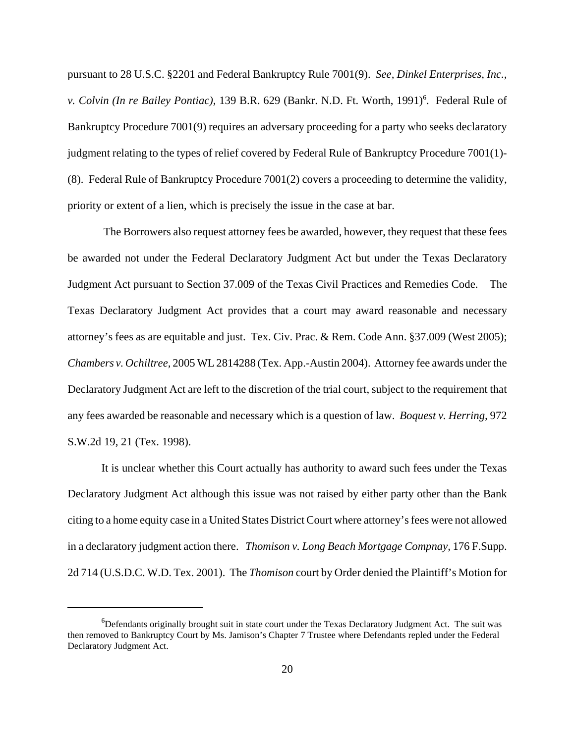pursuant to 28 U.S.C. §2201 and Federal Bankruptcy Rule 7001(9). *See, Dinkel Enterprises, Inc.,* v. Colvin (In re Bailey Pontiac), 139 B.R. 629 (Bankr. N.D. Ft. Worth, 1991)<sup>6</sup>. Federal Rule of Bankruptcy Procedure 7001(9) requires an adversary proceeding for a party who seeks declaratory judgment relating to the types of relief covered by Federal Rule of Bankruptcy Procedure 7001(1)- (8). Federal Rule of Bankruptcy Procedure 7001(2) covers a proceeding to determine the validity, priority or extent of a lien, which is precisely the issue in the case at bar.

 The Borrowers also request attorney fees be awarded, however, they request that these fees be awarded not under the Federal Declaratory Judgment Act but under the Texas Declaratory Judgment Act pursuant to Section 37.009 of the Texas Civil Practices and Remedies Code. The Texas Declaratory Judgment Act provides that a court may award reasonable and necessary attorney's fees as are equitable and just. Tex. Civ. Prac. & Rem. Code Ann. §37.009 (West 2005); *Chambers v. Ochiltree,* 2005 WL 2814288 (Tex. App.-Austin 2004). Attorney fee awards under the Declaratory Judgment Act are left to the discretion of the trial court, subject to the requirement that any fees awarded be reasonable and necessary which is a question of law. *Boquest v. Herring,* 972 S.W.2d 19, 21 (Tex. 1998).

It is unclear whether this Court actually has authority to award such fees under the Texas Declaratory Judgment Act although this issue was not raised by either party other than the Bank citing to a home equity case in a United States District Court where attorney's fees were not allowed in a declaratory judgment action there. *Thomison v. Long Beach Mortgage Compnay,* 176 F.Supp. 2d 714 (U.S.D.C. W.D. Tex. 2001). The *Thomison* court by Order denied the Plaintiff's Motion for

<sup>&</sup>lt;sup>6</sup>Defendants originally brought suit in state court under the Texas Declaratory Judgment Act. The suit was then removed to Bankruptcy Court by Ms. Jamison's Chapter 7 Trustee where Defendants repled under the Federal Declaratory Judgment Act.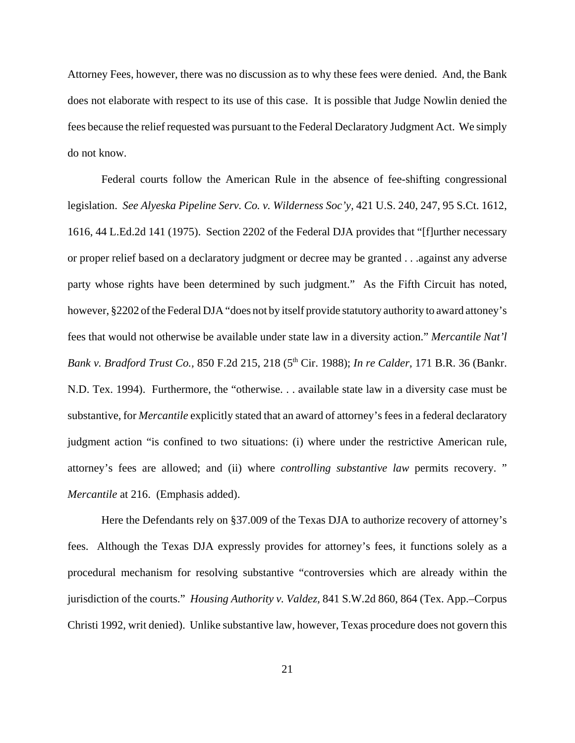Attorney Fees, however, there was no discussion as to why these fees were denied. And, the Bank does not elaborate with respect to its use of this case.It is possible that Judge Nowlin denied the fees because the relief requested was pursuant to the Federal Declaratory Judgment Act.We simply do not know.

Federal courts follow the American Rule in the absence of fee-shifting congressional legislation. *See Alyeska Pipeline Serv. Co. v. Wilderness Soc'y,* 421 U.S. 240, 247, 95 S.Ct. 1612, 1616, 44 L.Ed.2d 141 (1975). Section 2202 of the Federal DJA provides that "[f]urther necessary or proper relief based on a declaratory judgment or decree may be granted . . .against any adverse party whose rights have been determined by such judgment." As the Fifth Circuit has noted, however, §2202 of the Federal DJA "does not by itself provide statutory authority to award attoney's fees that would not otherwise be available under state law in a diversity action." *Mercantile Nat'l Bank v. Bradford Trust Co.,* 850 F.2d 215, 218 (5th Cir. 1988); *In re Calder,* 171 B.R. 36 (Bankr. N.D. Tex. 1994). Furthermore, the "otherwise. . . available state law in a diversity case must be substantive, for *Mercantile* explicitly stated that an award of attorney's fees in a federal declaratory judgment action "is confined to two situations: (i) where under the restrictive American rule, attorney's fees are allowed; and (ii) where *controlling substantive law* permits recovery. " *Mercantile* at 216. (Emphasis added).

Here the Defendants rely on §37.009 of the Texas DJA to authorize recovery of attorney's fees. Although the Texas DJA expressly provides for attorney's fees, it functions solely as a procedural mechanism for resolving substantive "controversies which are already within the jurisdiction of the courts." *Housing Authority v. Valdez,* 841 S.W.2d 860, 864 (Tex. App.–Corpus Christi 1992, writ denied). Unlike substantive law, however, Texas procedure does not govern this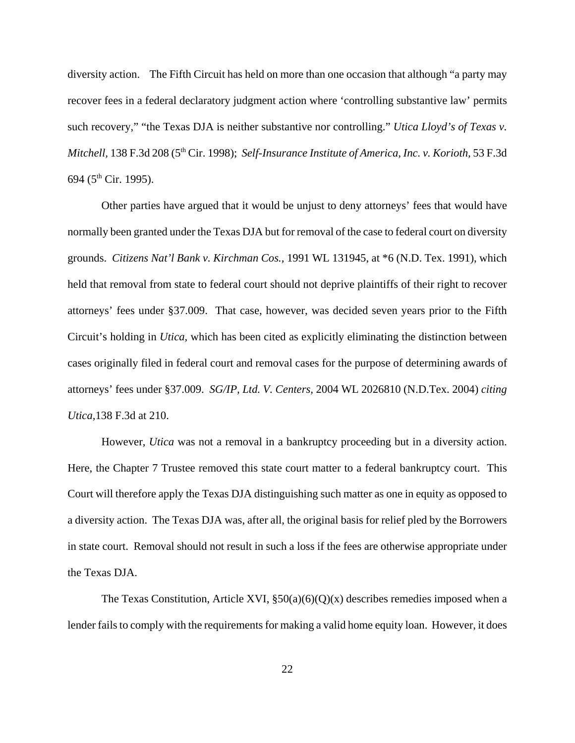diversity action. The Fifth Circuit has held on more than one occasion that although "a party may recover fees in a federal declaratory judgment action where 'controlling substantive law' permits such recovery," "the Texas DJA is neither substantive nor controlling." *Utica Lloyd's of Texas v. Mitchell,* 138 F.3d 208 (5<sup>th</sup> Cir. 1998); *Self-Insurance Institute of America, Inc. v. Korioth,* 53 F.3d 694 ( $5<sup>th</sup>$  Cir. 1995).

Other parties have argued that it would be unjust to deny attorneys' fees that would have normally been granted under the Texas DJA but for removal of the case to federal court on diversity grounds. *Citizens Nat'l Bank v. Kirchman Cos.,* 1991 WL 131945, at \*6 (N.D. Tex. 1991), which held that removal from state to federal court should not deprive plaintiffs of their right to recover attorneys' fees under §37.009. That case, however, was decided seven years prior to the Fifth Circuit's holding in *Utica*, which has been cited as explicitly eliminating the distinction between cases originally filed in federal court and removal cases for the purpose of determining awards of attorneys' fees under §37.009. *SG/IP, Ltd. V. Centers,* 2004 WL 2026810 (N.D.Tex. 2004) *citing Utica,*138 F.3d at 210.

However, *Utica* was not a removal in a bankruptcy proceeding but in a diversity action. Here, the Chapter 7 Trustee removed this state court matter to a federal bankruptcy court. This Court will therefore apply the Texas DJA distinguishing such matter as one in equity as opposed to a diversity action. The Texas DJA was, after all, the original basis for relief pled by the Borrowers in state court. Removal should not result in such a loss if the fees are otherwise appropriate under the Texas DJA.

The Texas Constitution, Article XVI,  $\S50(a)(6)(Q)(x)$  describes remedies imposed when a lender fails to comply with the requirements for making a valid home equity loan. However, it does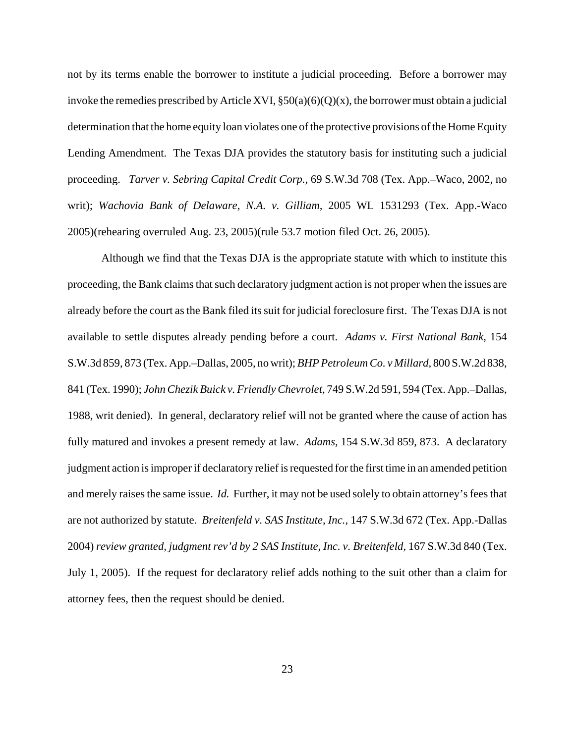not by its terms enable the borrower to institute a judicial proceeding. Before a borrower may invoke the remedies prescribed by Article XVI,  $\S50(a)(6)(Q)(x)$ , the borrower must obtain a judicial determination that the home equity loan violates one of the protective provisions of the Home Equity Lending Amendment. The Texas DJA provides the statutory basis for instituting such a judicial proceeding. *Tarver v. Sebring Capital Credit Corp.,* 69 S.W.3d 708 (Tex. App.–Waco, 2002, no writ); *Wachovia Bank of Delaware, N.A. v. Gilliam,* 2005 WL 1531293 (Tex. App.-Waco 2005)(rehearing overruled Aug. 23, 2005)(rule 53.7 motion filed Oct. 26, 2005).

Although we find that the Texas DJA is the appropriate statute with which to institute this proceeding, the Bank claims that such declaratory judgment action is not proper when the issues are already before the court as the Bank filed its suit for judicial foreclosure first. The Texas DJA is not available to settle disputes already pending before a court. *Adams v. First National Bank,* 154 S.W.3d 859, 873 (Tex. App.–Dallas, 2005, no writ); *BHP Petroleum Co. v Millard,* 800 S.W.2d 838, 841 (Tex. 1990); *John Chezik Buick v. Friendly Chevrolet,* 749 S.W.2d 591, 594 (Tex. App.–Dallas, 1988, writ denied). In general, declaratory relief will not be granted where the cause of action has fully matured and invokes a present remedy at law. *Adams,* 154 S.W.3d 859, 873. A declaratory judgment action is improper if declaratory relief is requested for the first time in an amended petition and merely raises the same issue. *Id.* Further, it may not be used solely to obtain attorney's fees that are not authorized by statute. *Breitenfeld v. SAS Institute, Inc.,* 147 S.W.3d 672 (Tex. App.-Dallas 2004) *review granted, judgment rev'd by 2 SAS Institute, Inc. v. Breitenfeld,* 167 S.W.3d 840 (Tex. July 1, 2005). If the request for declaratory relief adds nothing to the suit other than a claim for attorney fees, then the request should be denied.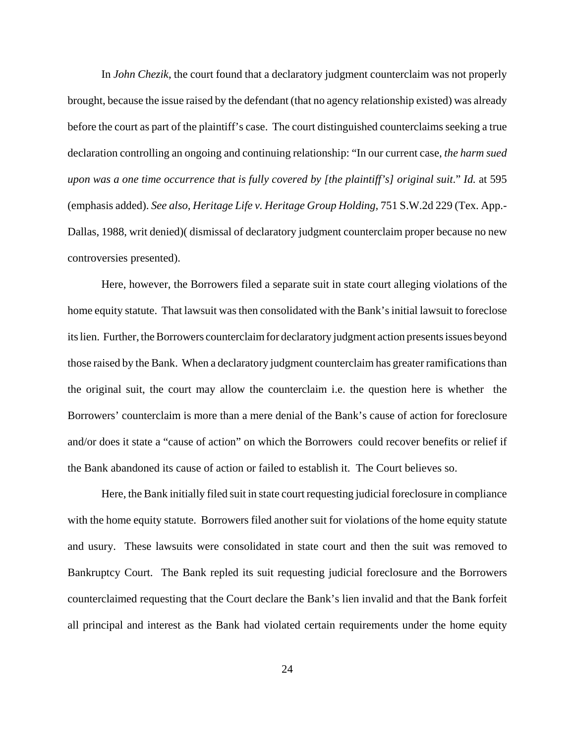In *John Chezik*, the court found that a declaratory judgment counterclaim was not properly brought, because the issue raised by the defendant (that no agency relationship existed) was already before the court as part of the plaintiff's case. The court distinguished counterclaims seeking a true declaration controlling an ongoing and continuing relationship: "In our current case, *the harm sued upon was a one time occurrence that is fully covered by [the plaintiff's] original suit*." *Id.* at 595 (emphasis added). *See also, Heritage Life v. Heritage Group Holding,* 751 S.W.2d 229 (Tex. App.- Dallas, 1988, writ denied)( dismissal of declaratory judgment counterclaim proper because no new controversies presented).

Here, however, the Borrowers filed a separate suit in state court alleging violations of the home equity statute. That lawsuit was then consolidated with the Bank's initial lawsuit to foreclose its lien. Further, the Borrowers counterclaim for declaratory judgment action presents issues beyond those raised by the Bank. When a declaratory judgment counterclaim has greater ramifications than the original suit, the court may allow the counterclaim i.e. the question here is whether the Borrowers' counterclaim is more than a mere denial of the Bank's cause of action for foreclosure and/or does it state a "cause of action" on which the Borrowers could recover benefits or relief if the Bank abandoned its cause of action or failed to establish it. The Court believes so.

Here, the Bank initially filed suit in state court requesting judicial foreclosure in compliance with the home equity statute. Borrowers filed another suit for violations of the home equity statute and usury. These lawsuits were consolidated in state court and then the suit was removed to Bankruptcy Court. The Bank repled its suit requesting judicial foreclosure and the Borrowers counterclaimed requesting that the Court declare the Bank's lien invalid and that the Bank forfeit all principal and interest as the Bank had violated certain requirements under the home equity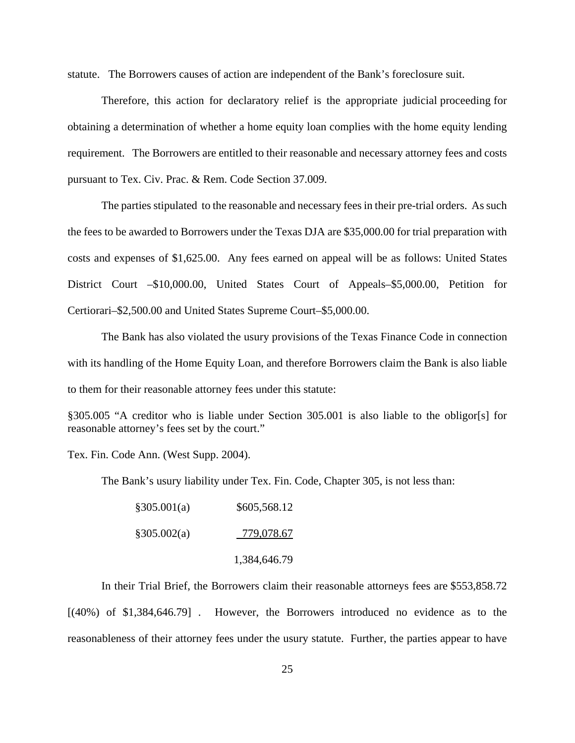statute. The Borrowers causes of action are independent of the Bank's foreclosure suit.

 Therefore, this action for declaratory relief is the appropriate judicial proceeding for obtaining a determination of whether a home equity loan complies with the home equity lending requirement. The Borrowers are entitled to their reasonable and necessary attorney fees and costs pursuant to Tex. Civ. Prac. & Rem. Code Section 37.009.

The parties stipulated to the reasonable and necessary fees in their pre-trial orders. As such the fees to be awarded to Borrowers under the Texas DJA are \$35,000.00 for trial preparation with costs and expenses of \$1,625.00. Any fees earned on appeal will be as follows: United States District Court –\$10,000.00, United States Court of Appeals–\$5,000.00, Petition for Certiorari–\$2,500.00 and United States Supreme Court–\$5,000.00.

The Bank has also violated the usury provisions of the Texas Finance Code in connection with its handling of the Home Equity Loan, and therefore Borrowers claim the Bank is also liable to them for their reasonable attorney fees under this statute:

§305.005 "A creditor who is liable under Section 305.001 is also liable to the obligor[s] for reasonable attorney's fees set by the court."

Tex. Fin. Code Ann. (West Supp. 2004).

The Bank's usury liability under Tex. Fin. Code, Chapter 305, is not less than:

| §305.001(a) | \$605,568.12 |
|-------------|--------------|
| §305.002(a) | 779,078.67   |
|             | 1,384,646.79 |

 In their Trial Brief, the Borrowers claim their reasonable attorneys fees are \$553,858.72 [(40%) of \$1,384,646.79] . However, the Borrowers introduced no evidence as to the reasonableness of their attorney fees under the usury statute. Further, the parties appear to have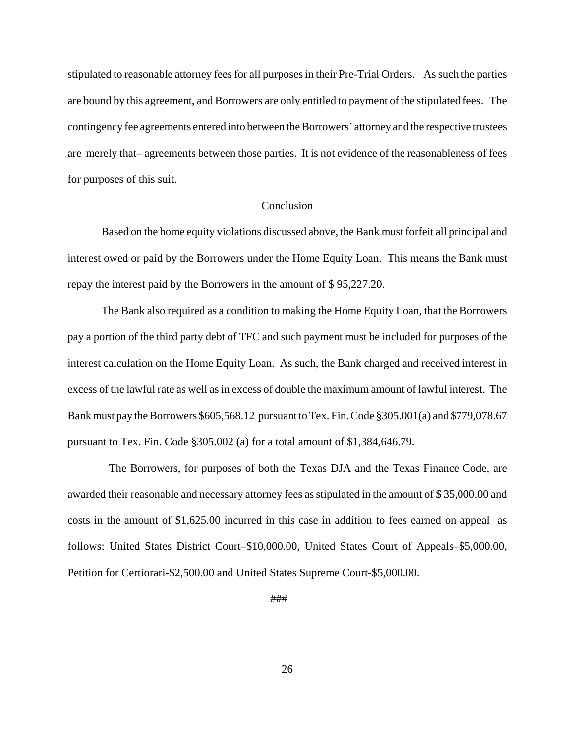stipulated to reasonable attorney fees for all purposes in their Pre-Trial Orders. As such the parties are bound by this agreement, and Borrowers are only entitled to payment of the stipulated fees. The contingency fee agreements entered into between the Borrowers' attorney and the respective trustees are merely that– agreements between those parties. It is not evidence of the reasonableness of fees for purposes of this suit.

#### Conclusion

Based on the home equity violations discussed above, the Bank must forfeit all principal and interest owed or paid by the Borrowers under the Home Equity Loan. This means the Bank must repay the interest paid by the Borrowers in the amount of \$ 95,227.20.

The Bank also required as a condition to making the Home Equity Loan, that the Borrowers pay a portion of the third party debt of TFC and such payment must be included for purposes of the interest calculation on the Home Equity Loan. As such, the Bank charged and received interest in excess of the lawful rate as well as in excess of double the maximum amount of lawful interest. The Bank must pay the Borrowers \$605,568.12 pursuant to Tex. Fin. Code §305.001(a) and \$779,078.67 pursuant to Tex. Fin. Code §305.002 (a) for a total amount of \$1,384,646.79.

 The Borrowers, for purposes of both the Texas DJA and the Texas Finance Code, are awarded their reasonable and necessary attorney fees as stipulated in the amount of \$ 35,000.00 and costs in the amount of \$1,625.00 incurred in this case in addition to fees earned on appeal as follows: United States District Court–\$10,000.00, United States Court of Appeals–\$5,000.00, Petition for Certiorari-\$2,500.00 and United States Supreme Court-\$5,000.00.